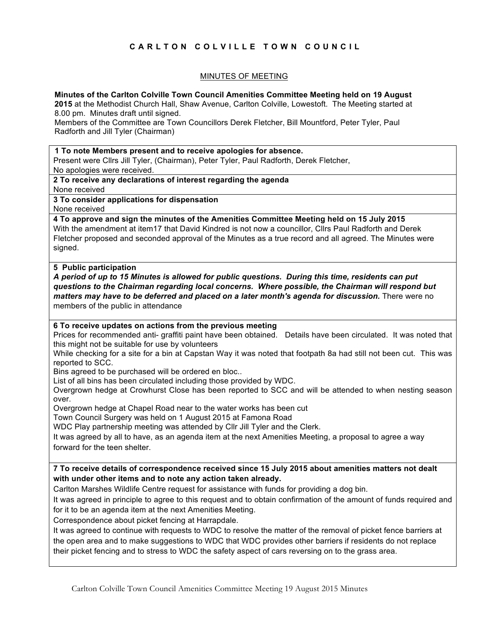# **CARLTON COLVILLE TOWN COUNCIL**

## MINUTES OF MEETING

## **Minutes of the Carlton Colville Town Council Amenities Committee Meeting held on 19 August**

**2015** at the Methodist Church Hall, Shaw Avenue, Carlton Colville, Lowestoft. The Meeting started at 8.00 pm. Minutes draft until signed.

Members of the Committee are Town Councillors Derek Fletcher, Bill Mountford, Peter Tyler, Paul Radforth and Jill Tyler (Chairman)

#### **1 To note Members present and to receive apologies for absence.**

Present were Cllrs Jill Tyler, (Chairman), Peter Tyler, Paul Radforth, Derek Fletcher, No apologies were received.

#### **2 To receive any declarations of interest regarding the agenda**

None received

#### **3 To consider applications for dispensation**

None received

## **4 To approve and sign the minutes of the Amenities Committee Meeting held on 15 July 2015**

With the amendment at item17 that David Kindred is not now a councillor, Cllrs Paul Radforth and Derek Fletcher proposed and seconded approval of the Minutes as a true record and all agreed. The Minutes were signed.

#### **5 Public participation**

*A period of up to 15 Minutes is allowed for public questions. During this time, residents can put questions to the Chairman regarding local concerns. Where possible, the Chairman will respond but matters may have to be deferred and placed on a later month's agenda for discussion.* There were no members of the public in attendance

#### **6 To receive updates on actions from the previous meeting**

Prices for recommended anti- graffiti paint have been obtained. Details have been circulated. It was noted that this might not be suitable for use by volunteers

While checking for a site for a bin at Capstan Way it was noted that footpath 8a had still not been cut. This was reported to SCC.

Bins agreed to be purchased will be ordered en bloc..

List of all bins has been circulated including those provided by WDC.

Overgrown hedge at Crowhurst Close has been reported to SCC and will be attended to when nesting season over.

Overgrown hedge at Chapel Road near to the water works has been cut

Town Council Surgery was held on 1 August 2015 at Famona Road

WDC Play partnership meeting was attended by Cllr Jill Tyler and the Clerk.

It was agreed by all to have, as an agenda item at the next Amenities Meeting, a proposal to agree a way forward for the teen shelter.

## **7 To receive details of correspondence received since 15 July 2015 about amenities matters not dealt with under other items and to note any action taken already.**

Carlton Marshes Wildlife Centre request for assistance with funds for providing a dog bin.

It was agreed in principle to agree to this request and to obtain confirmation of the amount of funds required and for it to be an agenda item at the next Amenities Meeting.

Correspondence about picket fencing at Harrapdale.

It was agreed to continue with requests to WDC to resolve the matter of the removal of picket fence barriers at the open area and to make suggestions to WDC that WDC provides other barriers if residents do not replace their picket fencing and to stress to WDC the safety aspect of cars reversing on to the grass area.